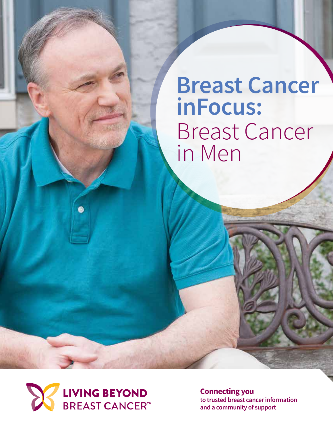## **Breast Cancer inFocus:** Breast Cancer in Men



**Connecting you to trusted breast cancer information and a community of support**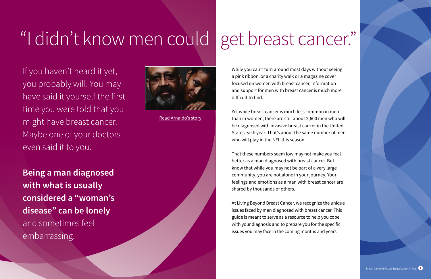While you can't turn around most days without seeing a pink ribbon, or a charity walk or a magazine cover focused on women with breast cancer, information and support for men with breast cancer is much more difficult to find.

Yet while breast cancer is much less common in men than in women, there are still about 2,600 men who will be diagnosed with invasive breast cancer in the United States each year. That's about the same number of men who will play in the NFL this season.

That these numbers seem low may not make you feel better as a man diagnosed with breast cancer. But know that while you may not be part of a very large community, you are not alone in your journey. Your feelings and emotions as a man with breast cancer are shared by thousands of others.

At Living Beyond Breast Cancer, we recognize the unique issues faced by men diagnosed with breast cancer. This guide is meant to serve as a resource to help you cope with your diagnosis and to prepare you for the specific issues you may face in the coming months and years.



If you haven't heard it yet, you probably will. You may have said it yourself the first time you were told that you might have breast cancer. Maybe one of your doctors even said it to you.

**Being a man diagnosed with what is usually considered a "woman's disease" can be lonely**  and sometimes feel embarrassing.

# <span id="page-1-0"></span>"I didn't know men could get breast cancer."



[Read Arnaldo's story](http://malebreastcancercoalition.org/Survivor%20Stories/arnaldo-silva-and-vanessa-silva-welch/)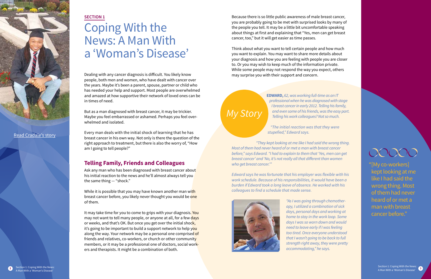**Edward,** *62, was working full-time as an IT professional when he was diagnosed with stage I breast cancer in early 2012. Telling his family, and even some of his friends, was the easy part. Telling his work colleagues? Not so much.*

*"They kept looking at me like I had said the wrong thing. Most of them had never heard of or met a man with breast cancer*  before," says Edward. "I had to explain to them that 'Yes, men can get breast cancer' and 'No, it's not really all that different than women who get breast cancer."

*"The initial reaction was that they were* stupefied," Edward says.

Edward says he was fortunate that his employer was flexible with his *work schedule. Because of his responsibilities, it would have been a*  burden if Edward took a long leave of absence. He worked with his colleagues to find a schedule that made sense.



*"As I was going through chemotherapy, I utilized a combination of sick days, personal days and working at home to stay in the work loop. Some days I was so worn down and would need to leave early if I was feeling too tired. Once everyone understood that I wasn't going to be back to full strength right away, they were pretty*  accommodating," he says.

### OOOOC

### *My Story*

Because there is so little public awareness of male breast cancer, you are probably going to be met with surprised looks by many of the people you tell. It may be a little bit uncomfortable speaking about things at first and explaining that "Yes, men can get breast cancer, too," but it will get easier as time passes.

Ask any man who has been diagnosed with breast cancer about his initial reaction to the news and he'll almost always tell you the same thing — "shock."

While it is possible that you may have known another man with breast cancer before, you likely never thought you would be one of them.

Think about what you want to tell certain people and how much you want to explain. You may want to share more details about your diagnosis and how you are feeling with people you are closer to. Or you may wish to keep much of the information private. While some people may not respond the way you expect, others may surprise you with their support and concern.

It may take time for you to come to grips with your diagnosis. You may not want to tell many people, or anyone at all, for a few days or weeks, and that's OK. But once you get over the initial shock, it's going to be important to build a support network to help you along the way. Your network may be a personal one comprised of friends and relatives, co-workers, or church or other community members, or it may be a professional one of doctors, social workers and therapists. It might be a combination of both.

"[My co-workers] kept looking at me like I [had said th](#page-1-0)e wrong thing. Most of them had never heard of or met a man with breast cancer before."

Section 1: Coping With the News<mark>:</mark><br>A Man With a 'Woman's Disease'

#### **Section 1**

## Coping With the News: A Man With a 'Woman's Disease'

Dealing with any cancer diagnosis is difficult. You likely know people, both men and women, who have dealt with cancer over the years. Maybe it's been a parent, spouse, partner or child who has needed your help and support. Most people are overwhelmed and amazed at how supportive their network of loved ones can be in times of need.

But as a man diagnosed with breast cancer, it may be trickier. Maybe you feel embarrassed or ashamed. Perhaps you feel overwhelmed and isolated.

Every man deals with the initial shock of learning that he has breast cancer in his own way. Not only is there the question of the right approach to treatment, but there is also the worry of, "How am I going to tell people?"

#### **Telling Family, Friends and Colleagues**

<span id="page-2-0"></span>

### [Read Cradale's story](http://malebreastcancercoalition.org/Survivor%20Stories/cradale-waller/)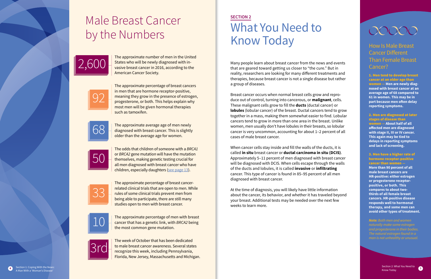How Is Male Breast Cancer Different Than Female Breast Cancer?

1. Men tend to develop breast cancer at an older age than women **— Men are newly diagnosed with breast cancer at an average age of 68 compared to 61 in women. This may be in part because men often delay reporting symptoms.**

2. Men are diagnosed at later stages of disease than women **— About half of all affected men are diagnosed with stage II, III or IV cancer. This again may be tied to delays in reporting symptoms and lack of screening.**



#### 3. Men have a higher rate of hormone receptor-positive cancer than women **—**

**More than 90 percent of all male breast cancers are HR-positive: either estrogen or progesterone receptorpositive, or both. This compares to about twothirds of all female breast cancers. HR-positive disease responds well to hormonal therapy, and some men can avoid other types of treatment.**

*Note: Both men and women naturally make some estrogen and progesterone in their bodies. The natural estrogen found in a man is not unhealthy or unusual.*

## Male Breast Cancer by the Numbers

The approximate number of men in the United States who will be newly diagnosed with invasive breast cancer in 2016, according to the American Cancer Society.

The approximate percentage of breast cancers in men that are hormone receptor-positive, meaning they grow in the presence of estrogen, progesterone, or both. This helps explain why most men will be given hormonal therapies such as tamoxifen.

The approximate average age of men newly diagnosed with breast cancer. This is slightly older than the average age for women.

The odds that children of someone with a *BRCA1* or *BRCA2* gene mutation will have the mutation themselves, making genetic testing crucial for all men diagnosed with breast cancer who have children, especially daughters [\(see page 13](#page-7-0)).

The approximate percentage of breast cancerrelated clinical trials that are open to men. While rules of some clinical trials prevent men from being able to participate, there are still many studies open to men with breast cancer.

The approximate percentage of men with breast cancer that has a genetic link, with *BRCA2* being the most common gene mutation.

The week of October that has been dedicated to male breast cancer awareness. Several states recognize this week, including Pennsylvania, Florida, New Jersey, Massachusetts and Michigan.















### **Section 2** What You Need to Know Today

Many people learn about breast cancer from the news and events that are geared toward getting us closer to "the cure." But in reality, researchers are looking for many different treatments and therapies, because breast cancer is not a single disease but rather a group of diseases.

Breast cancer occurs when normal breast cells grow and reproduce out of control, turning into cancerous, or **malignant**, cells. These malignant cells grow to fill the **ducts** (ductal cancer) or **lobules** (lobular cancer) of the breast. Ductal cancers tend to grow together in a mass, making them somewhat easier to find. Lobular cancers tend to grow in more than one area in the breast. Unlike women, men usually don't have lobules in their breasts, so lobular cancer is very uncommon, accounting for about 1–2 percent of all cases of male breast cancer.

When cancer cells stay inside and fill the walls of the ducts, it is called **in situ** breast cancer or **ductal carcinoma in situ (DCIS)**. Approximately 5–11 percent of men diagnosed with breast cancer will be diagnosed with DCIS. When cells escape through the walls of the ducts and lobules, it is called **invasive** or **infiltrating** cancer. This type of cancer is found in 85–95 percent of all men diagnosed with breast cancer.

At the time of diagnosis, you will likely have little information about the cancer, its behavior, and whether it has traveled beyond your breast. Additional tests may be needed over the next few weeks to learn more.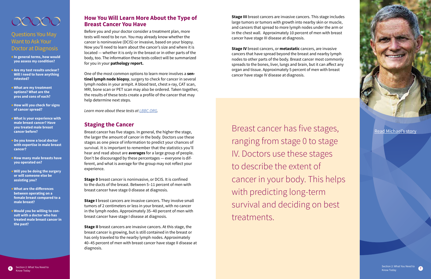#### **How You Will Learn More About the Type of Breast Cancer You Have**

Before you and your doctor consider a treatment plan, more tests will need to be run. You may already know whether the cancer is noninvasive (DCIS) or invasive, based on your biopsy. Now you'll need to learn about the cancer's size and where it is located — whether it is only in the breast or in other parts of the body, too. The information these tests collect will be summarized for you in your **pathology report.**

One of the most common options to learn more involves a **sen tinel lymph node biopsy**, surgery to check for cancer in several lymph nodes in your armpit. A blood test, chest x-ray, CAT scan, MRI, bone scan or PET scan may also be ordered. Taken together, the results of these tests create a profile of the cancer that may help determine next steps.

Learn more about these tests at <u>LBBC.ORG</u>.

#### **Staging the Cancer**

Breast cancer has five stages. In general, the higher the stage, the larger the amount of cancer in the body. Doctors use these stages as one piece of information to predict your chances of survival. It is important to remember that the statistics you'll hear and read about are **averages** for a large group of people. Don't be discouraged by these percentages — everyone is dif ferent, and what is average for the group may not reflect your experience.

**Stage 0** breast cancer is noninvasive, or DCIS. It is confined to the ducts of the breast. Between 5–11 percent of men with breast cancer have stage 0 disease at diagnosis.

**Stage I** breast cancers are invasive cancers. They involve small tumors of 2 centimeters or less in your breast, with no cancer in the lymph nodes. Approximately 35–40 percent of men with breast cancer have stage I disease at diagnosis.

**Stage II** breast cancers are invasive cancers. At this stage, the breast cancer is growing, but is still contained in the breast or has only traveled to the nearby lymph nodes. Approximately 40–45 percent of men with breast cancer have stage II disease at diagnosis.





<span id="page-4-0"></span>

### Questions You May Want to Ask Your Doctor at Diagnosis

- **•In general terms, how would you assess my condition?**
- **•** Are my test results unclear? **Will I need to have anything retested?**
- **• What are my treatment options? What are the pros and cons of each?**
- **• How will you check for signs of cancer spread?**
- **• What is your experience with male breast cancer? Have you treated male breast cancer before?**
- **• Do you know a local doctor with expertise in male breast cancer?**
- **• How many male breasts have you operated on?**
- **• Will you be doing the surgery or will someone else be assisting you?**
- **• What are the differences between operating on a female breast compared to a male breast?**
- **• Would you be willing to con sult with a doctor who has treated male breast cancer in the past?**

Section 2: What You Need to Know Today

**Stage III** breast cancers are invasive cancers. This stage includes large tumors or tumors with growth into nearby skin or muscle, and cancers that spread to more lymph nodes under the arm or in the chest wall. Approximately 10 percent of men with breast cancer have stage III disease at diagnosis.

**Stage IV** breast cancers, or **metastatic** cancers, are invasive cancers that have spread beyond the breast and nearby lymph nodes to other parts of the body. Breast cancer most commonly spreads to the bones, liver, lungs and brain, but it can affect any organ and tissue. Approximately 5 percent of men with breast cancer have stage IV disease at diagnosis.

Breast cancer has five stages, ranging from stage 0 to stage IV. Doctors use these stages to describe the extent of cancer in your body. This helps with predicting long-term survival and deciding on best treatments.

#### [Read Michael's story](http://malebreastcancercoalition.org/Survivor%20Stories/michael-kovarik/)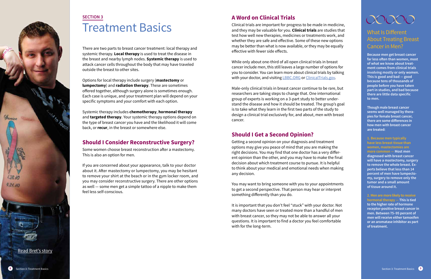### **A Word on Clinical Trials**

While only about one-third of all open clinical trials in breast cancer include men, this still leaves a large number of options for you to consider. You can learn more about clinical trials by talking with your doctor, and visiting **LBBC.ORG** or <u>[ClinicalTrials.gov](https://clinicaltrials.gov)</u>.

Clinical trials are important for progress to be made in medicine, and they may be valuable for you. **Clinical trials** are studies that test how well new therapies, medicines or treatments work, and whether they are safe and effective. Some of these new options may be better than what is now available, or they may be equally effective with fewer side effects.

Male-only clinical trials in breast cancer continue to be rare, but researchers are taking steps to change that. One international group of experts is working on a 3-part study to better under stand the disease and how it should be treated. The group's goal is to take what they learn in the first two parts of the study to design a clinical trial exclusively for, and about, men with breast cancer.

### **SECTION 3** Treatment Basics

### **Should I Get a Second Opinion?**

Getting a second opinion on your diagnosis and treatment options may give you peace of mind that you are making the right decisions. You may find that one doctor has a very differ ent opinion than the other, and you may have to make the final decision about which treatment course to pursue. It is helpful to think about your medical and emotional needs when making any decision.

You may want to bring someone with you to your appointments to get a second perspective. That person may hear or interpret something differently than you do.

It is important that you don't feel "stuck" with your doctor. Not many doctors have seen or treated more than a handful of men with breast cancer, so they may not be able to answer all your questions. It is important to find a doctor you feel comfortable with for the long-term.

There are two parts to breast cancer treatment: local therapy and systemic therapy. **Local therapy** is used to treat the disease in the breast and nearby lymph nodes. **Systemic therapy** is used to attack cancer cells throughout the body that may have traveled outside the breast to other sites.

Options for local therapy include surgery (**mastectomy** or **lumpectomy**) and **radiation therapy**. These are sometimes offered together, although surgery alone is sometimes enough. Each case is unique, and your treatment plan will depend on your specific symptoms and your comfort with each option.

Systemic therapy includes **chemotherapy**, **hormonal therapy** and **targeted therapy**. Your systemic therapy options depend on the type of breast cancer you have and the likelihood it will come back, or **recur**, in the breast or somewhere else.

### **Should I Consider Reconstructive Surgery?**

Some women choose breast reconstruction after a mastectomy. This is also an option for men.

If you are concerned about your appearance, talk to your doctor about it. After mastectomy or lumpectomy, you may be hesitant to remove your shirt at the beach or in the gym locker room, and you may consider reconstructive surgery. There are other options as well — some men get a simple tattoo of a nipple to make them feel less self-conscious.

### What Is Different About Treating Breast Cancer in Men?

**Because men get breast cancer far less often than women, most of what we know about treat ment comes from clinical trials involving mostly or only women. This is good and bad — good because tens of thousands of people before you have taken part in studies, and bad because there are little data specific to men. Though male breast cancer** 

**seems well managed by thera pies for female breast cancer, there are some differences in how men with breast cancer are treated:** 

**1. Because men typically have less breast tissue than women, mastectomies are more common — Most men diagnosed with breast cancer will have a mastectomy, surgery to remove the whole breast. E x perts believe that less than 14 percent of men have lumpecto my, surgery to remove only the tumor and a small amount of tissue around it.**

**2. Men are more likely to receive hormonal therapy — This is tied to the higher rate of hormone receptor-positive breast cancer in men. Between 75–95 percent of men will receive either tamoxifen or an aromatase inhibitor as part of treatment.**

<span id="page-5-0"></span>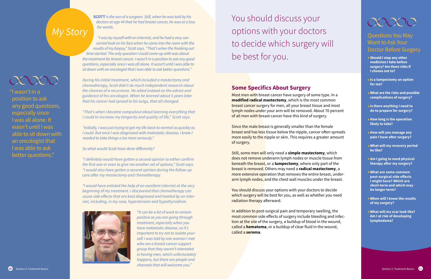### Questions You May Want to Ask Your Doctor Before Surgery

- **• Should I stop any other medicines I take before surgery? Are there risks if I choose not to?**
- **•Is a lumpectomy an option for me?**
- **• What are the risks and possible complications of surgery?**
- **•Is there anything I need to do to prepare for surgery?**
- **• How long is the operation likely to take?**
- **• How will you manage any pain I have after surgery?**
- **• What will my recovery period be like?**
- **• Am I going to need physical therapy after my surgery?**
- **• What are some common post-surgical side effects I might have? Which are short-term and which may be longer term?**
- **• When will I know the results of my surgery?**
- **• What will my scar look like? Am I at risk of developing lymphedema?**

**SCOTT** is the son of a surgeon. Still, when he was told by his *doctors at age 44 that he had breast cancer, he was at a loss for words.* 

You should discuss your options with your doctors to decide which surgery will be best for you.

*"I was by myself with an internist, and he had a very concerned look on his face when he came into the room with the*  results of my biopsy," Scott says. "That's when the freaking out *time started. The only question I could come up with was about the treatment for breast cancer. I wasn't in a position to ask any good questions, especially since I was all alone. It wasn't until I was able to*  sit down with an oncologist that I was able to ask better questions."

> Most men with breast cancer have surgery of some type. In a **modified radical mastectomy**, which is the most common breast cancer surgery for men, all your breast tissue and most lymph nodes under your arm will be removed. About 70 percent of all men with breast cancer have this kind of surgery.

*During his initial treatment, which included a mastectomy and chemotherapy, Scott didn't do much independent research about*  the chances of a recurrence. He relied instead on the advice and *guidance of his oncologist. When he learned about 5 years later that his cancer had spread to his lungs, that all changed.*

> Since the male breast is generally smaller than the female breast and has less tissue below the nipple, cancer often spreads more easily to the nipple or skin. This requires a greater amount of surgery.

Still, some men will only need a **simple mastectomy**, which does not remove underarm lymph nodes or muscle tissue from beneath the breast, or a **lumpectomy**, where only part of the breast is removed. Others may need a **radical mastectomy**, a more extensive operation that removes the entire breast, underarm lymph nodes, and the chest wall muscles under the breast.

*"That's when I became compulsive about learning everything that*  I could to increase my longevity and quality of life," Scott says.

*"Initially, I was just trying to get my life back to normal as quickly as I could. But once I was diagnosed with metastatic disease, I knew I*  needed to take things a lot more seriously."

So what would Scott have done differently?

"I definitely would have gotten a second opinion to either confirm the first one or even to give me another set of options," Scott says. *"I would also have gotten a second opinion during the follow-up*  care after my mastectomy and chemotherapy.

"I would have enlisted the help of an excellent internist at the very *beginning of my treatment. I discovered that chemotherapy can*  cause side effects that are best diagnosed and treated by an inter*nist, including, in my case, hypertension and hypothyroidism.*



*"It can be a lot of work to remain positive as you are going through treatment, especially when you have metastatic disease, so it's important to try not to isolate yourself. I was told by one woman I met who ran a breast cancer support group that they weren't interested in having men, which unfortunately happens, but there are people and*  channels that will welcome you."

### **Some Specifics About Surgery**

You should discuss your options with your doctors to decide which surgery will be best for you, as well as whether you need radiation therapy afterward.

In addition to post-surgical pain and temporary swelling, the most common side effects of surgery include bleeding and infection at the site of the surgery, a buildup of blood in the wound, called a **hematoma**, or a buildup of clear fluid in the wound, called a **seroma**.

## <span id="page-6-0"></span>*My Story*

### 00000

"I wasn't in a position to ask any good questions, especially since I was all alone. It wasn't until I was able to sit down with an oncologist that I was able to ask better questions."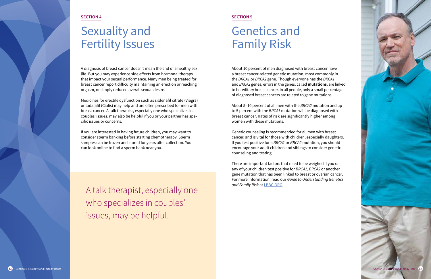A talk therapist, especially one who specializes in couples' issues, may be helpful.



#### **SECTION 5**

## Genetics and Family Risk

About 10 percent of men diagnosed with breast cancer have a breast cancer-related genetic mutation, most commonly in the *BRCA1* or *BRCA2* gene. Though everyone has the *BRCA1*  and *BRCA2* genes, errors in the genes, called **mutations**, are linked to hereditary breast cancer. In all people, only a small percentage of diagnosed breast cancers are related to gene mutations.

There are important factors that need to be weighed if you or any of your children test positive for *BRCA1*, *BRCA2* or another gene mutation that has been linked to breast or ovarian cancer. For more information, read our *Guide to Understanding Genetics*  and Family Risk at LBBC.ORG.

About 5–10 percent of all men with the *BRCA2* mutation and up to 5 percent with the *BRCA1* mutation will be diagnosed with breast cancer. Rates of risk are significantly higher among women with these mutations.

Genetic counseling is recommended for all men with breast cancer, and is vital for those with children, especially daughters. If you test positive for a *BRCA1* or *BRCA2* mutation, you should encourage your adult children and siblings to consider genetic counseling and testing.

<span id="page-7-0"></span>

#### **SECTION 4**

## Sexuality and Fertility Issues

A diagnosis of breast cancer doesn't mean the end of a healthy sex life. But you may experience side effects from hormonal therapy that impact your sexual performance. Many men being treated for breast cancer report difficulty maintaining an erection or reaching orgasm, or simply reduced overall sexual desire.

Medicines for erectile dysfunction such as sildenafil citrate (Viagra) or tadalafil (Cialis) may help and are often prescribed for men with breast cancer. A talk therapist, especially one who specializes in couples' issues, may also be helpful if you or your partner has specific issues or concerns.

If you are interested in having future children, you may want to consider sperm banking before starting chemotherapy. Sperm samples can be frozen and stored for years after collection. You can look online to find a sperm bank near you.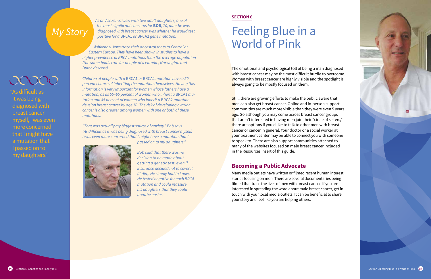*As an Ashkenazi Jew with two adult daughters, one of*  the most significant concerns for **Bob**, 70, after he was *diagnosed with breast cancer was whether he would test positive for a* BRCA1 *or* BRCA2 *gene mutation.* 

*Ashkenazi Jews trace their ancestral roots to Central or*  Eastern Europe. They have been shown in studies to have a *higher prevalence of BRCA mutations than the average population (the same holds true for people of Icelandic, Norwegian and Dutch descent).*

*Children of people with a* BRCA1 *or* BRCA2 *mutation have a 50*  percent chance of inheriting the mutation themselves. Having this *information is very important for women whose fathers have a mutation, as as 55–65 percent of women who inherit a* BRCA1 *mutation and 45 percent of women who inherit a* BRCA2 *mutation develop breast cancer by age 70. The risk of developing ovarian cancer is also greater among women with one or both of these mutations.*

The emotional and psychological toll of being a man diagnosed with breast cancer may be the most difficult hurdle to overcome. Women with breast cancer are highly visible and the spotlight is always going to be mostly focused on them.

"That was actually my biggest source of anxiety," Bob says. "As difficult as it was being diagnosed with breast cancer myself, *I was even more concerned that I might have a mutation that I* 



passed on to my daughters."

Still, there are growing efforts to make the public aware that men can also get breast cancer. Online and in-person support communities are much more visible than they were even 5 years ago. So although you may come across breast cancer groups that aren't interested in having men join their "circle of sisters," there are options if you'd like to talk to other men with breast cancer or cancer in general. Your doctor or a social worker at your treatment center may be able to connect you with someone to speak to. There are also support communities attached to many of the websites focused on male breast cancer included in the Resources insert of this guide.

*Bob said that there was no decision to be made about getting a genetic test, even if insurance decided not to cover it*  (it did). He simply had to know. He tested negative for each BRCA *mutation and could reassure his daughters that they could breathe easier.*

## *My Story*

### 00000

"As difficult as it was being diagnosed with breast cancer myself, I was even more concerned that I might have a mutation that I passed on to my daughters."

#### **SECTION 6**

## Feeling Blue in a World of Pink

#### **Becoming a Public Advocate**

Many media outlets have written or filmed recent human interest stories focusing on men. There are several documentaries being filmed that trace the lives of men with breast cancer. If you are interested in spreading the word about male breast cancer, get in touch with your local media outlets. It can be beneficial to share your story and feel like you are helping others.

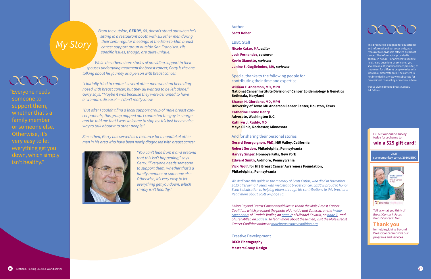This brochure is designed for educational and informational purposes only, as a resource to individuals affected by breast cancer. The information provided is general in nature. For answers to specific healthcare questions or concerns, you should consult your healthcare provider, as treatment for different people varies with individual circumstances. The content is not intended in any way to substitute for professional counseling or medical advice.

*From the outside, GERRY, 68, doesn't stand out when he's* sitting in a restaurant booth with six other men during *their semi-regular meetings of the Man-to-Man breast*  cancer support group outside San Francisco. His specific issues, though, are quite unique.

> ©2016 Living Beyond Breast Cancer, 1st Edition.

"But after I couldn't find a local support group of male breast can*cer patients, this group popped up. I contacted the guy in charge and he told me that I was welcome to stop by. It's just been a nice*  way to talk about it to other people."

> "You can't hide from it and pretend that this isn't happening," says Gerry. "Everyone needs someone *to support them, whether that's a family member or someone else. Otherwise, it's very easy to let everything get you down, which*  simply isn't healthy."

*While the others share stories of providing support to their spouses undergoing treatment for breast cancer, Gerry is the one talking about his journey as a person with breast cancer.*

*"I initially tried to contact several other men who had been diag*nosed with breast cancer, but they all wanted to be left alone," *Gerry says. "Maybe it was because they were ashamed to have*  a 'woman's disease' — I don't really know.

*Since then, Gerry has served as a resource for a handful of other men in his area who have been newly diagnosed with breast cancer.*



## *My Story*

### COOOO

#### Author

#### **Scott Kober**

#### LBBC Staff

**Nicole Katze, MA,** *editor* **Josh Fernandez,** *reviewer* **Kevin Gianotto,** *reviewer* **Janine E. Guglielmino, MA,** *reviewer*

#### Special thanks to the following people for contributing their time and expertise

**William F. Anderson, MD, MPH National Cancer Institute Division of Cancer Epidemiology & Genetics Bethesda, Maryland**

**Sharon H. Giordano, MD, MPH University of Texas MD Anderson Cancer Center, Houston, Texas**

**Catherine Creme Henry Advocate, Washington D.C.** 

**Kathryn J. Ruddy, MD Mayo Clinic, Rochester, Minnesota**

#### And for sharing their personal stories

**Gerard Bourguignon, PhD, Mill Valley, California Robert Gordon, Philadelphia, Pennsylvania Harvey Singer, Honeoye Falls, New York Edward Smith, Ardmore, Pennsylvania Vicki Wolf, for HIS Breast Cancer Awareness Foundation, Philadelphia, Pennsylvania**

*We dedicate this guide to the memory of Scott Cotlar, who died in November*  2015 after living 7 years with metastatic breast cancer. LBBC is proud to honor *Scott's dedication to helping others through his contributions to this brochure. Read more about Scott on [page 10](#page-6-0).*

*Living Beyond Breast Cancer would like to thank the Male Breast Cancer Coalition, which provided the photo of Arnaldo and Vanessa, on the [inside](#page-1-0) [cover page;](#page-1-0) of Cradale Waller, on [page 2;](#page-2-0) of Michael Kovarik, on [page 7](#page-4-0); and of Bret Miller, on [page 8](#page-5-0). To learn more about these men, visit the Male Breast Cancer Coalition online at [malebreastcancercoalition.org](http://malebreastcancercoalition.org).*

Creative Development **BECK Photography Masters Group Design**

"Everyone needs someone to support them, whether that's a family member or someone else. Otherwise, it's very easy to let everything get you down, which simply isn't healthy."

> Tell us what you think of *Breast Cancer InFocus: Breast Cancer in Men.*

#### **Thank you**

for helping Living Beyond Breast Cancer improve our programs and services.

#### Fill out our online survey today for a chance to **win a \$25 gift card!**

**visit: surveymonkey.com/r/2016LBBC**

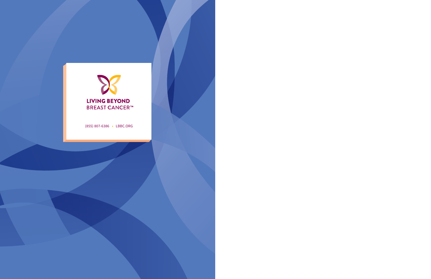

(855) 807-6386 LBBC.ORG